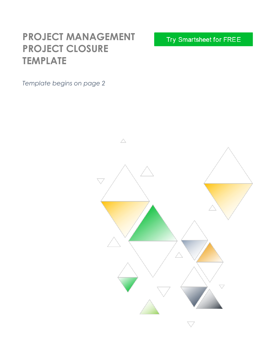# **PROJECT MANAGEMENT PROJECT CLOSURE TEMPLATE**

*Template begins on page 2*

Try Smartsheet for FREE

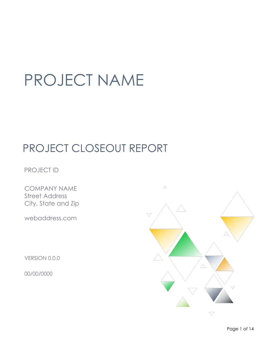# PROJECT NAME

# PROJECT CLOSEOUT REPORT

PROJECT ID

COMPANY NAME Street Address City, State and Zip

webaddress.com

VERSION 0.0.0

00/00/0000

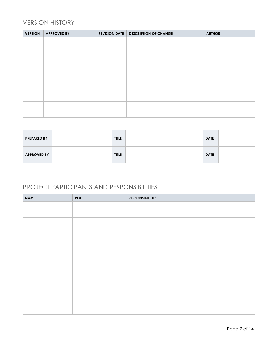## VERSION HISTORY

| <b>VERSION</b> | <b>APPROVED BY</b> | <b>REVISION DATE</b> | <b>DESCRIPTION OF CHANGE</b> | <b>AUTHOR</b> |
|----------------|--------------------|----------------------|------------------------------|---------------|
|                |                    |                      |                              |               |
|                |                    |                      |                              |               |
|                |                    |                      |                              |               |
|                |                    |                      |                              |               |
|                |                    |                      |                              |               |
|                |                    |                      |                              |               |
|                |                    |                      |                              |               |
|                |                    |                      |                              |               |
|                |                    |                      |                              |               |
|                |                    |                      |                              |               |
|                |                    |                      |                              |               |

| <b>PREPARED BY</b> | <b>TITLE</b> | <b>DATE</b> |  |
|--------------------|--------------|-------------|--|
| <b>APPROVED BY</b> | <b>TITLE</b> | <b>DATE</b> |  |

## PROJECT PARTICIPANTS AND RESPONSIBILITIES

| <b>NAME</b> | <b>ROLE</b> | <b>RESPONSIBILITIES</b> |
|-------------|-------------|-------------------------|
|             |             |                         |
|             |             |                         |
|             |             |                         |
|             |             |                         |
|             |             |                         |
|             |             |                         |
|             |             |                         |
|             |             |                         |
|             |             |                         |
|             |             |                         |
|             |             |                         |
|             |             |                         |
|             |             |                         |
|             |             |                         |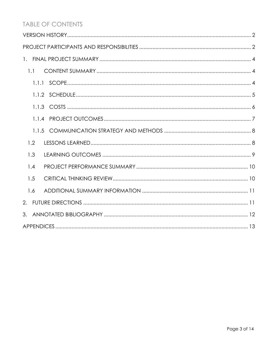# **TABLE OF CONTENTS**

| 1.1   |
|-------|
|       |
|       |
|       |
| 1.1.4 |
|       |
| 1.2   |
| 1.3   |
| 1.4   |
| 1.5   |
| 1.6   |
|       |
|       |
|       |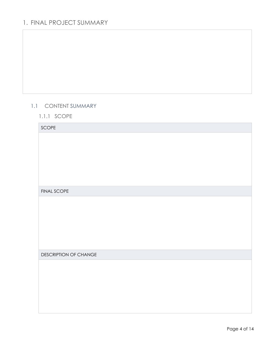# 1. FINAL PROJECT SUMMARY

#### 1.1 CONTENT SUMMARY

1.1.1 SCOPE

| SCOPE                 |
|-----------------------|
|                       |
|                       |
|                       |
|                       |
|                       |
|                       |
| <b>FINAL SCOPE</b>    |
|                       |
|                       |
|                       |
|                       |
|                       |
|                       |
| DESCRIPTION OF CHANGE |
|                       |
|                       |
|                       |
|                       |
|                       |
|                       |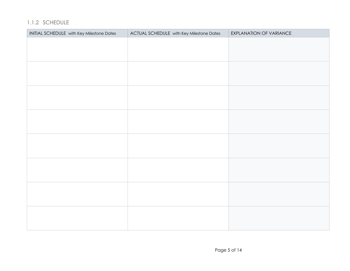#### 1.1.2 SCHEDULE

| INITIAL SCHEDULE with Key Milestone Dates | ACTUAL SCHEDULE with Key Milestone Dates | EXPLANATION OF VARIANCE |
|-------------------------------------------|------------------------------------------|-------------------------|
|                                           |                                          |                         |
|                                           |                                          |                         |
|                                           |                                          |                         |
|                                           |                                          |                         |
|                                           |                                          |                         |
|                                           |                                          |                         |
|                                           |                                          |                         |
|                                           |                                          |                         |
|                                           |                                          |                         |
|                                           |                                          |                         |
|                                           |                                          |                         |
|                                           |                                          |                         |
|                                           |                                          |                         |
|                                           |                                          |                         |
|                                           |                                          |                         |
|                                           |                                          |                         |
|                                           |                                          |                         |
|                                           |                                          |                         |
|                                           |                                          |                         |
|                                           |                                          |                         |
|                                           |                                          |                         |
|                                           |                                          |                         |
|                                           |                                          |                         |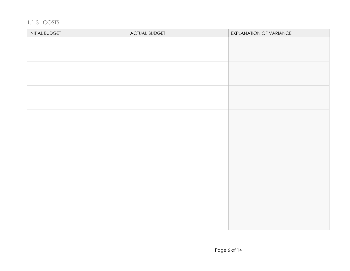# 1.1.3 COSTS

| <b>INITIAL BUDGET</b> | <b>ACTUAL BUDGET</b> | EXPLANATION OF VARIANCE |
|-----------------------|----------------------|-------------------------|
|                       |                      |                         |
|                       |                      |                         |
|                       |                      |                         |
|                       |                      |                         |
|                       |                      |                         |
|                       |                      |                         |
|                       |                      |                         |
|                       |                      |                         |
|                       |                      |                         |
|                       |                      |                         |
|                       |                      |                         |
|                       |                      |                         |
|                       |                      |                         |
|                       |                      |                         |
|                       |                      |                         |
|                       |                      |                         |
|                       |                      |                         |
|                       |                      |                         |
|                       |                      |                         |
|                       |                      |                         |
|                       |                      |                         |
|                       |                      |                         |
|                       |                      |                         |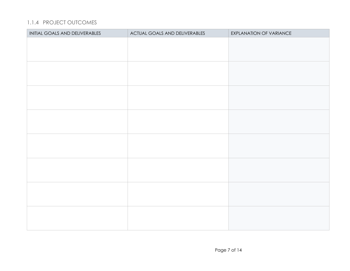#### 1.1.4 PROJECT OUTCOMES

| INITIAL GOALS AND DELIVERABLES | ACTUAL GOALS AND DELIVERABLES | EXPLANATION OF VARIANCE |
|--------------------------------|-------------------------------|-------------------------|
|                                |                               |                         |
|                                |                               |                         |
|                                |                               |                         |
|                                |                               |                         |
|                                |                               |                         |
|                                |                               |                         |
|                                |                               |                         |
|                                |                               |                         |
|                                |                               |                         |
|                                |                               |                         |
|                                |                               |                         |
|                                |                               |                         |
|                                |                               |                         |
|                                |                               |                         |
|                                |                               |                         |
|                                |                               |                         |
|                                |                               |                         |
|                                |                               |                         |
|                                |                               |                         |
|                                |                               |                         |
|                                |                               |                         |
|                                |                               |                         |
|                                |                               |                         |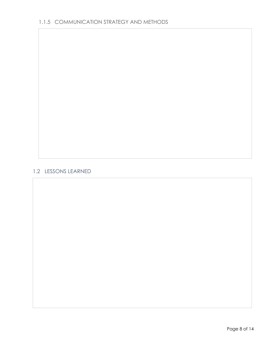#### 1.2 LESSONS LEARNED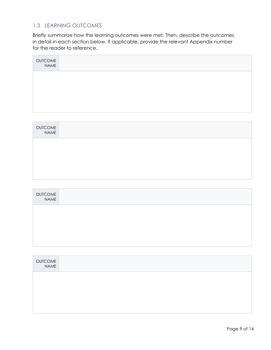#### 1.3 LEARNING OUTCOMES

Briefly summarize how the learning outcomes were met. Then, describe the outcomes in detail in each section below. If applicable, provide the relevant Appendix number for the reader to reference.

| OUTCOME<br>NAME |  |  |  |
|-----------------|--|--|--|
|                 |  |  |  |
|                 |  |  |  |
|                 |  |  |  |

| OUTCOME<br>NAME |  |  |
|-----------------|--|--|
|                 |  |  |
|                 |  |  |
|                 |  |  |

| OUTCOME<br>NAME |  |
|-----------------|--|
|                 |  |
|                 |  |
|                 |  |

| OUTCOME<br>NAME |  |
|-----------------|--|
|                 |  |
|                 |  |
|                 |  |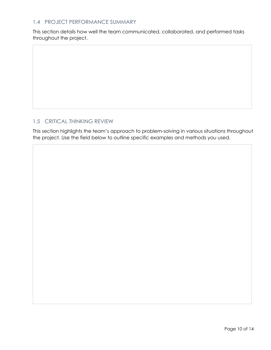#### 1.4 PROJECT PERFORMANCE SUMMARY

This section details how well the team communicated, collaborated, and performed tasks throughout the project.

#### 1.5 CRITICAL THINKING REVIEW

This section highlights the team's approach to problem-solving in various situations throughout the project. Use the field below to outline specific examples and methods you used.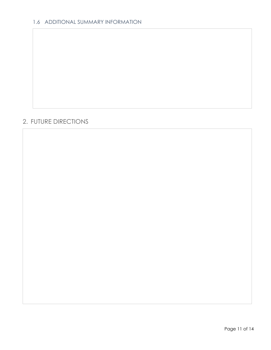### 2. FUTURE DIRECTIONS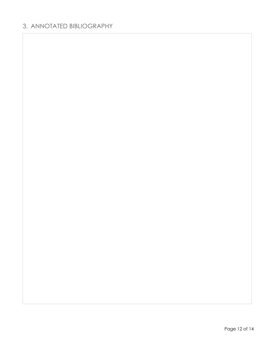# 3. ANNOTATED BIBLIOGRAPHY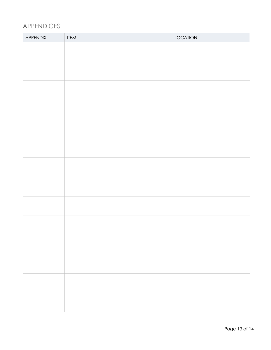# APPENDICES

| APPENDIX | <b>ITEM</b> | LOCATION |
|----------|-------------|----------|
|          |             |          |
|          |             |          |
|          |             |          |
|          |             |          |
|          |             |          |
|          |             |          |
|          |             |          |
|          |             |          |
|          |             |          |
|          |             |          |
|          |             |          |
|          |             |          |
|          |             |          |
|          |             |          |
|          |             |          |
|          |             |          |
|          |             |          |
|          |             |          |
|          |             |          |
|          |             |          |
|          |             |          |
|          |             |          |
|          |             |          |
|          |             |          |
|          |             |          |
|          |             |          |
|          |             |          |
|          |             |          |
|          |             |          |
|          |             |          |
|          |             |          |